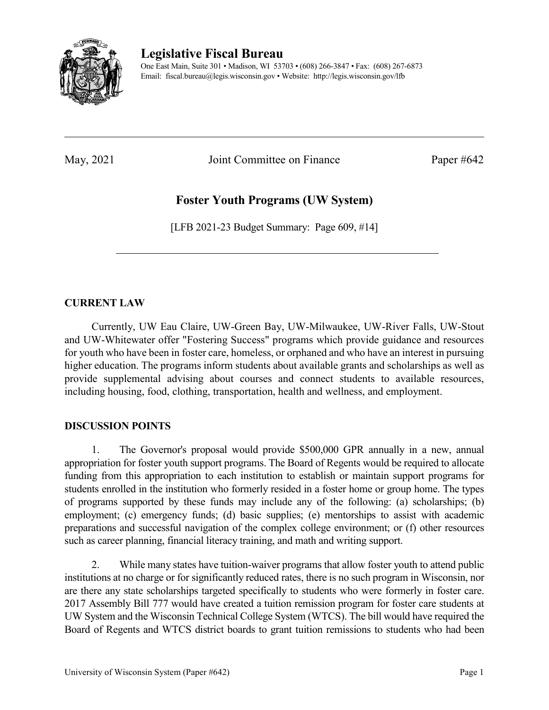

**Legislative Fiscal Bureau**

One East Main, Suite 301 • Madison, WI 53703 • (608) 266-3847 • Fax: (608) 267-6873 Email: fiscal.bureau@legis.wisconsin.gov • Website:<http://legis.wisconsin.gov/lfb>

May, 2021 Joint Committee on Finance Paper #642

## **Foster Youth Programs (UW System)**

[LFB 2021-23 Budget Summary: Page 609, #14]

## **CURRENT LAW**

Currently, UW Eau Claire, UW-Green Bay, UW-Milwaukee, UW-River Falls, UW-Stout and UW-Whitewater offer "Fostering Success" programs which provide guidance and resources for youth who have been in foster care, homeless, or orphaned and who have an interest in pursuing higher education. The programs inform students about available grants and scholarships as well as provide supplemental advising about courses and connect students to available resources, including housing, food, clothing, transportation, health and wellness, and employment.

## **DISCUSSION POINTS**

1. The Governor's proposal would provide \$500,000 GPR annually in a new, annual appropriation for foster youth support programs. The Board of Regents would be required to allocate funding from this appropriation to each institution to establish or maintain support programs for students enrolled in the institution who formerly resided in a foster home or group home. The types of programs supported by these funds may include any of the following: (a) scholarships; (b) employment; (c) emergency funds; (d) basic supplies; (e) mentorships to assist with academic preparations and successful navigation of the complex college environment; or (f) other resources such as career planning, financial literacy training, and math and writing support.

2. While many states have tuition-waiver programs that allow foster youth to attend public institutions at no charge or for significantly reduced rates, there is no such program in Wisconsin, nor are there any state scholarships targeted specifically to students who were formerly in foster care. 2017 Assembly Bill 777 would have created a tuition remission program for foster care students at UW System and the Wisconsin Technical College System (WTCS). The bill would have required the Board of Regents and WTCS district boards to grant tuition remissions to students who had been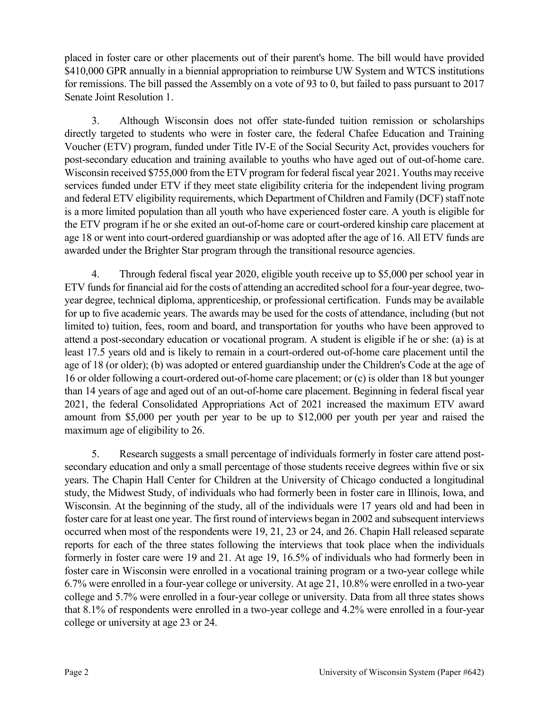placed in foster care or other placements out of their parent's home. The bill would have provided \$410,000 GPR annually in a biennial appropriation to reimburse UW System and WTCS institutions for remissions. The bill passed the Assembly on a vote of 93 to 0, but failed to pass pursuant to 2017 Senate Joint Resolution 1.

3. Although Wisconsin does not offer state-funded tuition remission or scholarships directly targeted to students who were in foster care, the federal Chafee Education and Training Voucher (ETV) program, funded under Title IV-E of the Social Security Act, provides vouchers for post-secondary education and training available to youths who have aged out of out-of-home care. Wisconsin received \$755,000 from the ETV program for federal fiscal year 2021. Youths may receive services funded under ETV if they meet state eligibility criteria for the independent living program and federal ETV eligibility requirements, which Department of Children and Family (DCF) staff note is a more limited population than all youth who have experienced foster care. A youth is eligible for the ETV program if he or she exited an out-of-home care or court-ordered kinship care placement at age 18 or went into court-ordered guardianship or was adopted after the age of 16. All ETV funds are awarded under the Brighter Star program through the transitional resource agencies.

4. Through federal fiscal year 2020, eligible youth receive up to \$5,000 per school year in ETV funds for financial aid for the costs of attending an accredited school for a four-year degree, twoyear degree, technical diploma, apprenticeship, or professional certification. Funds may be available for up to five academic years. The awards may be used for the costs of attendance, including (but not limited to) tuition, fees, room and board, and transportation for youths who have been approved to attend a post-secondary education or vocational program. A student is eligible if he or she: (a) is at least 17.5 years old and is likely to remain in a court-ordered out-of-home care placement until the age of 18 (or older); (b) was adopted or entered guardianship under the Children's Code at the age of 16 or older following a court-ordered out-of-home care placement; or (c) is older than 18 but younger than 14 years of age and aged out of an out-of-home care placement. Beginning in federal fiscal year 2021, the federal Consolidated Appropriations Act of 2021 increased the maximum ETV award amount from \$5,000 per youth per year to be up to \$12,000 per youth per year and raised the maximum age of eligibility to 26.

5. Research suggests a small percentage of individuals formerly in foster care attend postsecondary education and only a small percentage of those students receive degrees within five or six years. The Chapin Hall Center for Children at the University of Chicago conducted a longitudinal study, the Midwest Study, of individuals who had formerly been in foster care in Illinois, Iowa, and Wisconsin. At the beginning of the study, all of the individuals were 17 years old and had been in foster care for at least one year. The first round of interviews began in 2002 and subsequent interviews occurred when most of the respondents were 19, 21, 23 or 24, and 26. Chapin Hall released separate reports for each of the three states following the interviews that took place when the individuals formerly in foster care were 19 and 21. At age 19, 16.5% of individuals who had formerly been in foster care in Wisconsin were enrolled in a vocational training program or a two-year college while 6.7% were enrolled in a four-year college or university. At age 21, 10.8% were enrolled in a two-year college and 5.7% were enrolled in a four-year college or university. Data from all three states shows that 8.1% of respondents were enrolled in a two-year college and 4.2% were enrolled in a four-year college or university at age 23 or 24.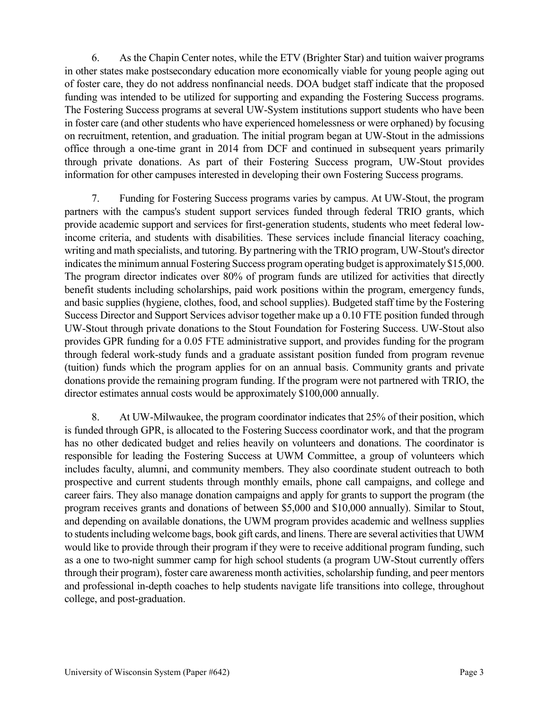6. As the Chapin Center notes, while the ETV (Brighter Star) and tuition waiver programs in other states make postsecondary education more economically viable for young people aging out of foster care, they do not address nonfinancial needs. DOA budget staff indicate that the proposed funding was intended to be utilized for supporting and expanding the Fostering Success programs. The Fostering Success programs at several UW-System institutions support students who have been in foster care (and other students who have experienced homelessness or were orphaned) by focusing on recruitment, retention, and graduation. The initial program began at UW-Stout in the admissions office through a one-time grant in 2014 from DCF and continued in subsequent years primarily through private donations. As part of their Fostering Success program, UW-Stout provides information for other campuses interested in developing their own Fostering Success programs.

7. Funding for Fostering Success programs varies by campus. At UW-Stout, the program partners with the campus's student support services funded through federal TRIO grants, which provide academic support and services for first-generation students, students who meet federal lowincome criteria, and students with disabilities. These services include financial literacy coaching, writing and math specialists, and tutoring. By partnering with the TRIO program, UW-Stout's director indicates the minimum annual Fostering Success program operating budget is approximately \$15,000. The program director indicates over 80% of program funds are utilized for activities that directly benefit students including scholarships, paid work positions within the program, emergency funds, and basic supplies (hygiene, clothes, food, and school supplies). Budgeted staff time by the Fostering Success Director and Support Services advisor together make up a 0.10 FTE position funded through UW-Stout through private donations to the Stout Foundation for Fostering Success. UW-Stout also provides GPR funding for a 0.05 FTE administrative support, and provides funding for the program through federal work-study funds and a graduate assistant position funded from program revenue (tuition) funds which the program applies for on an annual basis. Community grants and private donations provide the remaining program funding. If the program were not partnered with TRIO, the director estimates annual costs would be approximately \$100,000 annually.

8. At UW-Milwaukee, the program coordinator indicates that 25% of their position, which is funded through GPR, is allocated to the Fostering Success coordinator work, and that the program has no other dedicated budget and relies heavily on volunteers and donations. The coordinator is responsible for leading the Fostering Success at UWM Committee, a group of volunteers which includes faculty, alumni, and community members. They also coordinate student outreach to both prospective and current students through monthly emails, phone call campaigns, and college and career fairs. They also manage donation campaigns and apply for grants to support the program (the program receives grants and donations of between \$5,000 and \$10,000 annually). Similar to Stout, and depending on available donations, the UWM program provides academic and wellness supplies to students including welcome bags, book gift cards, and linens. There are several activities that UWM would like to provide through their program if they were to receive additional program funding, such as a one to two-night summer camp for high school students (a program UW-Stout currently offers through their program), foster care awareness month activities, scholarship funding, and peer mentors and professional in-depth coaches to help students navigate life transitions into college, throughout college, and post-graduation.